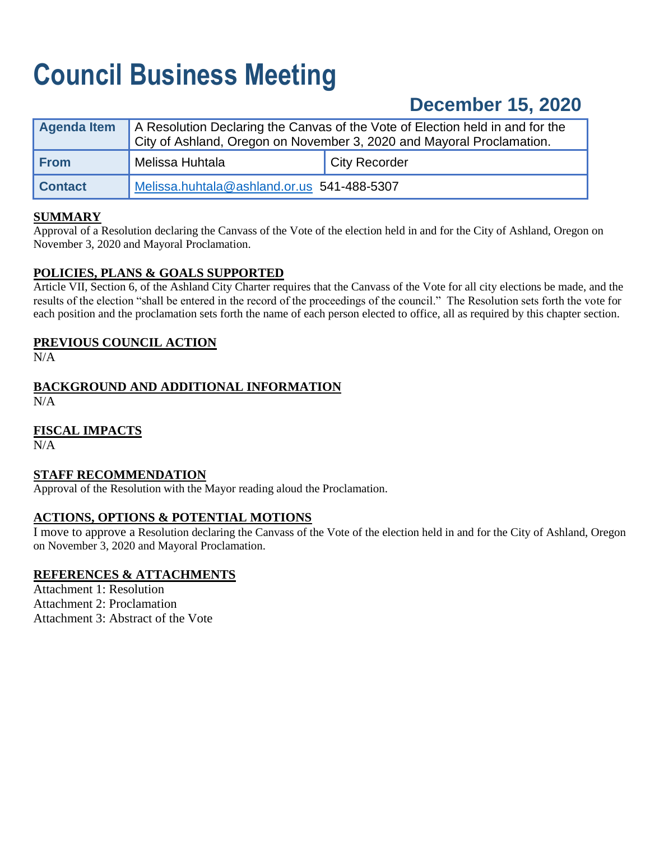# **Council Business Meeting**

# **December 15, 2020**

| Agenda Item    | A Resolution Declaring the Canvas of the Vote of Election held in and for the<br>City of Ashland, Oregon on November 3, 2020 and Mayoral Proclamation. |                      |  |
|----------------|--------------------------------------------------------------------------------------------------------------------------------------------------------|----------------------|--|
| <b>From</b>    | Melissa Huhtala                                                                                                                                        | <b>City Recorder</b> |  |
| <b>Contact</b> | Melissa.huhtala@ashland.or.us 541-488-5307                                                                                                             |                      |  |

# **SUMMARY**

Approval of a Resolution declaring the Canvass of the Vote of the election held in and for the City of Ashland, Oregon on November 3, 2020 and Mayoral Proclamation.

# **POLICIES, PLANS & GOALS SUPPORTED**

Article VII, Section 6, of the Ashland City Charter requires that the Canvass of the Vote for all city elections be made, and the results of the election "shall be entered in the record of the proceedings of the council." The Resolution sets forth the vote for each position and the proclamation sets forth the name of each person elected to office, all as required by this chapter section.

# **PREVIOUS COUNCIL ACTION**

 $N/A$ 

# **BACKGROUND AND ADDITIONAL INFORMATION**

N/A

# **FISCAL IMPACTS**

N/A

# **STAFF RECOMMENDATION**

Approval of the Resolution with the Mayor reading aloud the Proclamation.

# **ACTIONS, OPTIONS & POTENTIAL MOTIONS**

I move to approve a Resolution declaring the Canvass of the Vote of the election held in and for the City of Ashland, Oregon on November 3, 2020 and Mayoral Proclamation.

# **REFERENCES & ATTACHMENTS**

Attachment 1: Resolution Attachment 2: Proclamation Attachment 3: Abstract of the Vote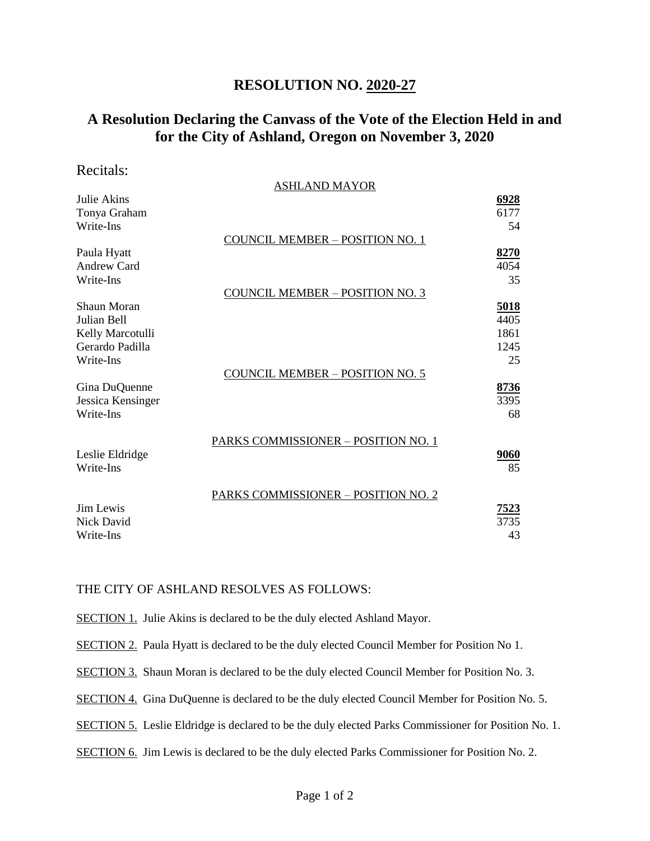# **RESOLUTION NO. 2020-27**

# **A Resolution Declaring the Canvass of the Vote of the Election Held in and for the City of Ashland, Oregon on November 3, 2020**

#### Recitals:

|                    | <b>ASHLAND MAYOR</b>                   |             |
|--------------------|----------------------------------------|-------------|
| Julie Akins        |                                        | 6928        |
| Tonya Graham       |                                        | 6177        |
| Write-Ins          |                                        | 54          |
|                    | <b>COUNCIL MEMBER - POSITION NO. 1</b> |             |
| Paula Hyatt        |                                        | 8270        |
| <b>Andrew Card</b> |                                        | 4054        |
| Write-Ins          |                                        | 35          |
|                    | <b>COUNCIL MEMBER - POSITION NO. 3</b> |             |
| Shaun Moran        |                                        | <u>5018</u> |
| Julian Bell        |                                        | 4405        |
| Kelly Marcotulli   |                                        | 1861        |
| Gerardo Padilla    |                                        | 1245        |
| Write-Ins          |                                        | 25          |
|                    | <b>COUNCIL MEMBER - POSITION NO. 5</b> |             |
| Gina DuQuenne      |                                        | 8736        |
| Jessica Kensinger  |                                        | 3395        |
| Write-Ins          |                                        | 68          |
|                    |                                        |             |
|                    | PARKS COMMISSIONER - POSITION NO. 1    |             |
| Leslie Eldridge    |                                        | 9060        |
| Write-Ins          |                                        | 85          |
|                    |                                        |             |
|                    | PARKS COMMISSIONER - POSITION NO. 2    |             |
| <b>Jim Lewis</b>   |                                        | <u>7523</u> |
| <b>Nick David</b>  |                                        | 3735        |
| Write-Ins          |                                        | 43          |
|                    |                                        |             |

#### THE CITY OF ASHLAND RESOLVES AS FOLLOWS:

SECTION 1. Julie Akins is declared to be the duly elected Ashland Mayor.

SECTION 2. Paula Hyatt is declared to be the duly elected Council Member for Position No 1.

SECTION 3. Shaun Moran is declared to be the duly elected Council Member for Position No. 3.

SECTION 4. Gina DuQuenne is declared to be the duly elected Council Member for Position No. 5.

SECTION 5. Leslie Eldridge is declared to be the duly elected Parks Commissioner for Position No. 1.

SECTION 6. Jim Lewis is declared to be the duly elected Parks Commissioner for Position No. 2.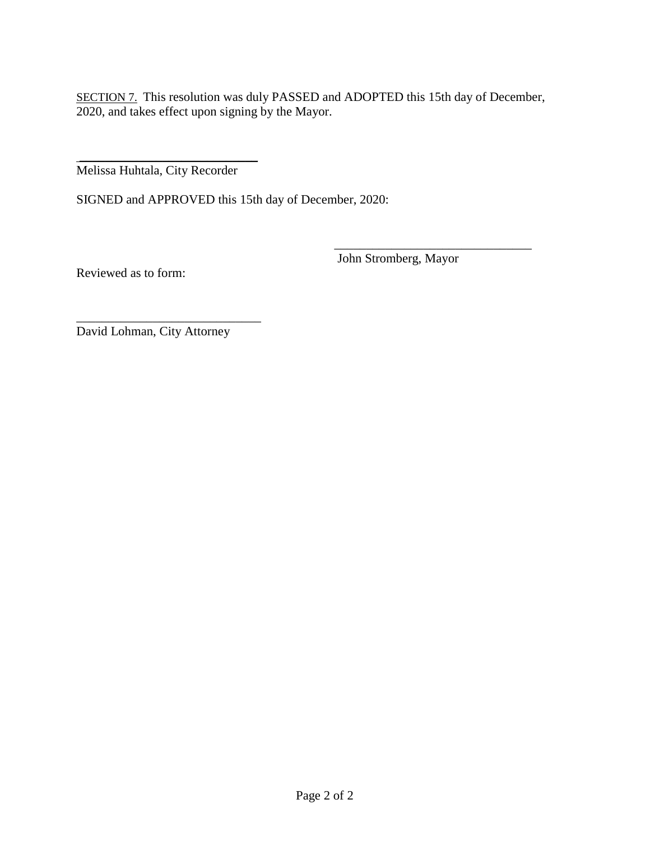SECTION 7. This resolution was duly PASSED and ADOPTED this 15th day of December, 2020, and takes effect upon signing by the Mayor.

\_\_\_\_\_\_\_\_\_\_\_\_\_\_\_\_\_\_\_\_\_\_\_\_\_\_\_\_ Melissa Huhtala, City Recorder

SIGNED and APPROVED this 15th day of December, 2020:

John Stromberg, Mayor

\_\_\_\_\_\_\_\_\_\_\_\_\_\_\_\_\_\_\_\_\_\_\_\_\_\_\_\_\_\_\_

Reviewed as to form:

David Lohman, City Attorney

\_\_\_\_\_\_\_\_\_\_\_\_\_\_\_\_\_\_\_\_\_\_\_\_\_\_\_\_\_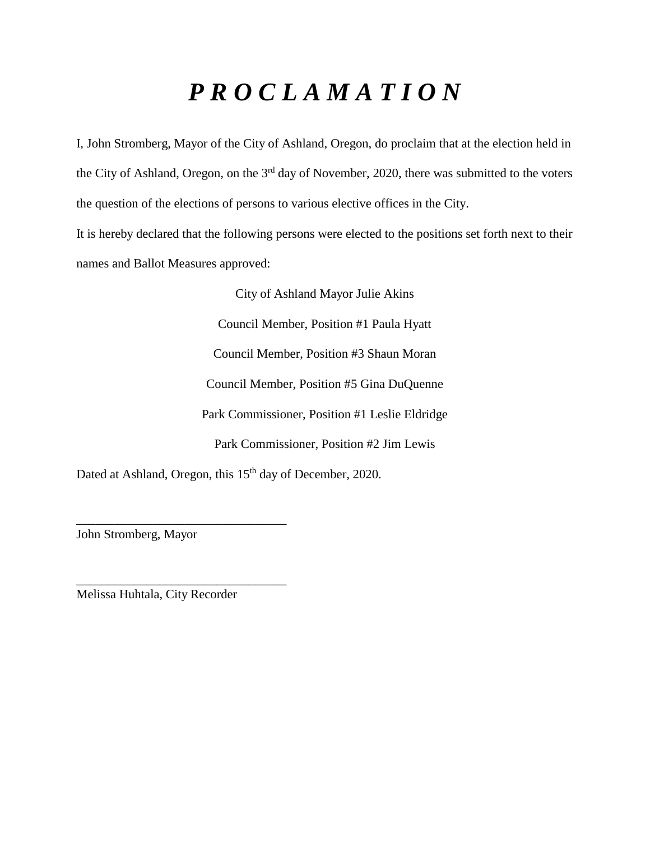# *P R O C L A M A T I O N*

I, John Stromberg, Mayor of the City of Ashland, Oregon, do proclaim that at the election held in the City of Ashland, Oregon, on the 3<sup>rd</sup> day of November, 2020, there was submitted to the voters the question of the elections of persons to various elective offices in the City.

It is hereby declared that the following persons were elected to the positions set forth next to their names and Ballot Measures approved:

> City of Ashland Mayor Julie Akins Council Member, Position #1 Paula Hyatt Council Member, Position #3 Shaun Moran Council Member, Position #5 Gina DuQuenne Park Commissioner, Position #1 Leslie Eldridge Park Commissioner, Position #2 Jim Lewis

Dated at Ashland, Oregon, this 15<sup>th</sup> day of December, 2020.

John Stromberg, Mayor

Melissa Huhtala, City Recorder

\_\_\_\_\_\_\_\_\_\_\_\_\_\_\_\_\_\_\_\_\_\_\_\_\_\_\_\_\_\_\_\_\_

\_\_\_\_\_\_\_\_\_\_\_\_\_\_\_\_\_\_\_\_\_\_\_\_\_\_\_\_\_\_\_\_\_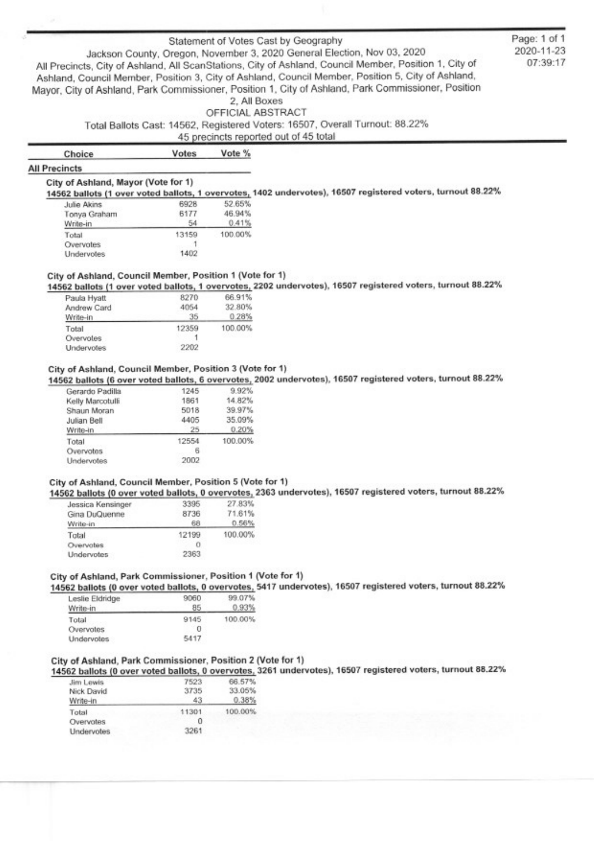#### Statement of Votes Cast by Geography

Jackson County, Oregon, November 3, 2020 General Election, Nov 03, 2020 All Precincts, City of Ashland, All ScanStations, City of Ashland, Council Member, Position 1, City of Ashland, Council Member, Position 3, City of Ashland, Council Member, Position 5, City of Ashland, Mayor, City of Ashland, Park Commissioner, Position 1, City of Ashland, Park Commissioner, Position 2. All Boxes

#### OFFICIAL ABSTRACT

Total Ballots Cast: 14562, Registered Voters: 16507, Overall Turnout: 88.22%

#### 45 precincts reported out of 45 total

| Choice | Votes | Vote % |
|--------|-------|--------|
|        |       |        |

#### **All Precincts**

#### City of Ashland, Mayor (Vote for 1)

14562 ballots (1 over voted ballots, 1 overvotes, 1402 undervotes), 16507 registered voters, turnout 88.22%

| 6928  | 52.65%  |
|-------|---------|
| 6177  | 46.94%  |
| 54    | 0.41%   |
| 13159 | 100.00% |
|       |         |
| 1402  |         |
|       |         |

#### City of Ashland, Council Member, Position 1 (Vote for 1)

14562 ballots (1 over voted ballots, 1 overvotes, 2202 undervotes), 16507 registered voters, turnout 88.22%

| 32.80%  |
|---------|
| 0.28%   |
| 100.00% |
|         |
|         |
|         |

#### City of Ashland, Council Member, Position 3 (Vote for 1)

14562 ballots (6 over voted ballots, 6 overvotes, 2002 undervotes), 16507 registered voters, turnout 88.22%

| Gerardo Padilla   | 1245  | 9.92%   |
|-------------------|-------|---------|
| Kelly Marcotulli  | 1861  | 14.82%  |
| Shaun Moran       | 5018  | 39.97%  |
| Julian Bell       | 4405  | 35.09%  |
| Write-in          | 25    | 0.20%   |
| Total             | 12554 | 100.00% |
| Overvotes         | 6     |         |
| <b>Undervotes</b> | 2002  |         |
|                   |       |         |

#### City of Ashland, Council Member, Position 5 (Vote for 1)

14562 ballots (0 over voted ballots, 0 overvotes, 2363 undervotes), 16507 registered voters, turnout 88.22%

| Jessica Kensinger | 3395  | 27.83%  |
|-------------------|-------|---------|
| Gina DuQuenne     | 8736  | 71.61%  |
| Write-in          | 68    | 0.56%   |
| Total             | 12199 | 100.00% |
| Overvotes         | о     |         |
| Undervotes        | 2363  |         |
|                   |       |         |

#### City of Ashland, Park Commissioner, Position 1 (Vote for 1)

14562 ballots (0 over voted ballots, 0 overvotes, 5417 undervotes), 16507 registered voters, turnout 88.22%

| Leslie Eldridge<br>Write-in | 9060<br>85 | 99.07%<br>0.93% |
|-----------------------------|------------|-----------------|
| Total                       | 9145       | 100.00%         |
| Overvotes                   |            |                 |
| Undervotes                  | 5417       |                 |

#### City of Ashland, Park Commissioner, Position 2 (Vote for 1)

14562 ballots (0 over voted ballots, 0 overvotes, 3261 undervotes), 16507 registered voters, turnout 88.22%

| Jim Lewis  | 7523  | 66.57%  |
|------------|-------|---------|
| Nick David | 3735  | 33.05%  |
| Write-in   | 43    | 0.38%   |
| Total      | 11301 | 100.00% |
| Overvotes  |       |         |
| Undervotes | 3261  |         |

Page: 1 of 1 2020-11-23 07:39:17